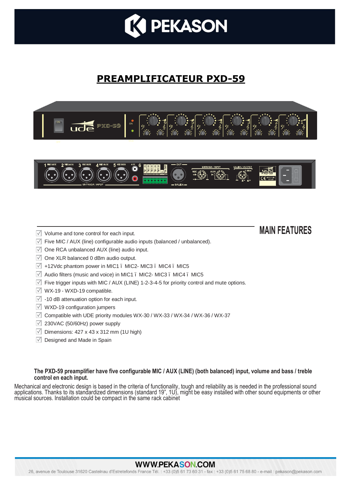

# **PREAMPLIFICATEUR PXD-59**



## Volume and tone control for each input. **MAIN FEATURES**

- $\sqrt{ }$  Five MIC / AUX (line) configurable audio inputs (balanced / unbalanced).
- $\sqrt{ }$  One RCA unbalanced AUX (line) audio input.
- $\sqrt{ }$  One XLR balanced 0 dBm audio output.
- $\overline{V}$  +12Vdc phantom power in MIC1 . MIC2- MIC3 . MIC4 . MIC5
- $\sqrt{ }$  Audio filters (music and voice) in MIC1 . MIC2- MIC3 . MIC4 . MIC5
- $\overline{\vee}$  Five trigger inputs with MIC / AUX (LINE) 1-2-3-4-5 for priority control and mute options.
- $\sqrt{ }$  WX-19 WXD-19 compatible.
- $\sqrt{ }$  -10 dB attenuation option for each input.
- $\sqrt{ }$  WXD-19 configuration jumpers
- $\overline{V}$  Compatible with UDE priority modules WX-30 / WX-33 / WX-34 / WX-36 / WX-37
- $\sqrt{2}$  230VAC (50/60Hz) power supply
- $\sqrt{ }$  Dimensions: 427 x 43 x 312 mm (1U high)
- $\sqrt{ }$  Designed and Made in Spain

#### **The PXD-59 preamplifier have five configurable MIC / AUX (LINE) (both balanced) input, volume and bass / treble control en each input.**

Mechanical and electronic design is based in the criteria of functionality, tough and reliability as is needed in the professional sound applications. Thanks to its standardized dimensions (standard 19", 1U), might be easy installed with other sound equipments or other<br>musical sources. Installation could be compact in the same rack cabinet

#### **WWW.PEKASON.COM**